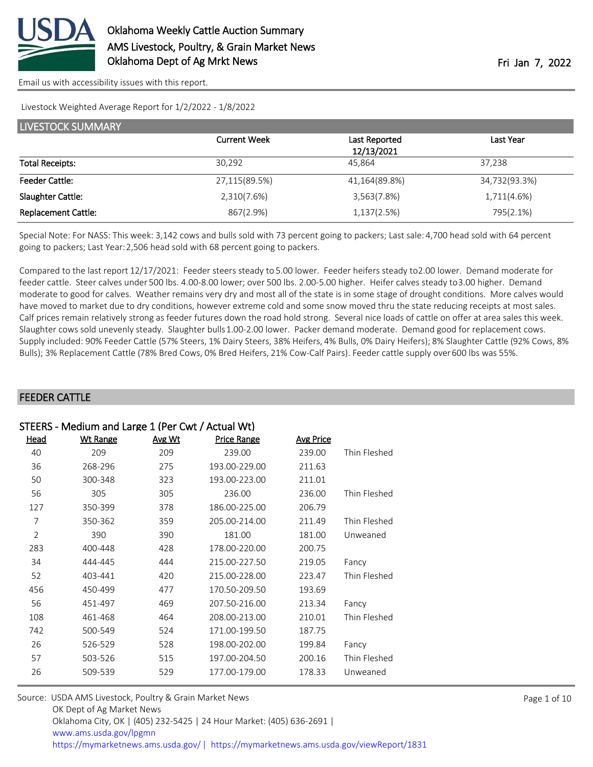

Livestock Weighted Average Report for 1/2/2022 - 1/8/2022

| <b>LIVESTOCK SUMMARY</b>   |                     |               |               |  |  |
|----------------------------|---------------------|---------------|---------------|--|--|
|                            | <b>Current Week</b> | Last Reported | Last Year     |  |  |
|                            |                     | 12/13/2021    |               |  |  |
| <b>Total Receipts:</b>     | 30,292              | 45.864        | 37,238        |  |  |
| <b>Feeder Cattle:</b>      | 27,115(89.5%)       | 41,164(89.8%) | 34,732(93.3%) |  |  |
| Slaughter Cattle:          | 2,310(7.6%)         | 3,563(7.8%)   | 1,711(4.6%)   |  |  |
| <b>Replacement Cattle:</b> | 867(2.9%)           | 1,137(2.5%)   | 795(2.1%)     |  |  |

Special Note: For NASS: This week: 3,142 cows and bulls sold with 73 percent going to packers; Last sale: 4,700 head sold with 64 percent going to packers; Last Year: 2,506 head sold with 68 percent going to packers.

Compared to the last report 12/17/2021: Feeder steers steady to 5.00 lower. Feeder heifers steady to 2.00 lower. Demand moderate for feeder cattle. Steer calves under 500 lbs. 4.00-8.00 lower; over 500 lbs. 2.00-5.00 higher. Heifer calves steady to 3.00 higher. Demand moderate to good for calves. Weather remains very dry and most all of the state is in some stage of drought conditions. More calves would have moved to market due to dry conditions, however extreme cold and some snow moved thru the state reducing receipts at most sales. Calf prices remain relatively strong as feeder futures down the road hold strong. Several nice loads of cattle on offer at area sales this week. Slaughter cows sold unevenly steady. Slaughter bulls 1.00-2.00 lower. Packer demand moderate. Demand good for replacement cows. Supply included: 90% Feeder Cattle (57% Steers, 1% Dairy Steers, 38% Heifers, 4% Bulls, 0% Dairy Heifers); 8% Slaughter Cattle (92% Cows, 8% Bulls); 3% Replacement Cattle (78% Bred Cows, 0% Bred Heifers, 21% Cow-Calf Pairs). Feeder cattle supply over 600 lbs was 55%.

### FEEDER CATTLE

|                | STEERS - Medium and Large 1 (Per Cwt / Actual Wt) |        |                    |                  |              |  |  |
|----------------|---------------------------------------------------|--------|--------------------|------------------|--------------|--|--|
| Head           | <b>Wt Range</b>                                   | Avg Wt | <b>Price Range</b> | <b>Avg Price</b> |              |  |  |
| 40             | 209                                               | 209    | 239.00             | 239.00           | Thin Fleshed |  |  |
| 36             | 268-296                                           | 275    | 193.00-229.00      | 211.63           |              |  |  |
| 50             | 300-348                                           | 323    | 193.00-223.00      | 211.01           |              |  |  |
| 56             | 305                                               | 305    | 236.00             | 236.00           | Thin Fleshed |  |  |
| 127            | 350-399                                           | 378    | 186.00-225.00      | 206.79           |              |  |  |
| 7              | 350-362                                           | 359    | 205.00-214.00      | 211.49           | Thin Fleshed |  |  |
| $\overline{2}$ | 390                                               | 390    | 181.00             | 181.00           | Unweaned     |  |  |
| 283            | 400-448                                           | 428    | 178.00-220.00      | 200.75           |              |  |  |
| 34             | 444-445                                           | 444    | 215.00-227.50      | 219.05           | Fancy        |  |  |
| 52             | 403-441                                           | 420    | 215.00-228.00      | 223.47           | Thin Fleshed |  |  |
| 456            | 450-499                                           | 477    | 170.50-209.50      | 193.69           |              |  |  |
| 56             | 451-497                                           | 469    | 207.50-216.00      | 213.34           | Fancy        |  |  |
| 108            | 461-468                                           | 464    | 208.00-213.00      | 210.01           | Thin Fleshed |  |  |
| 742            | 500-549                                           | 524    | 171.00-199.50      | 187.75           |              |  |  |
| 26             | 526-529                                           | 528    | 198.00-202.00      | 199.84           | Fancy        |  |  |
| 57             | 503-526                                           | 515    | 197.00-204.50      | 200.16           | Thin Fleshed |  |  |
| 26             | 509-539                                           | 529    | 177.00-179.00      | 178.33           | Unweaned     |  |  |
|                |                                                   |        |                    |                  |              |  |  |

| Source: USDA AMS Livestock, Poultry & Grain Market News                               |
|---------------------------------------------------------------------------------------|
| OK Dept of Ag Market News                                                             |
| Oklahoma City, OK   (405) 232-5425   24 Hour Market: (405) 636-2691                   |
| www.ams.usda.gov/lpgmn                                                                |
| https://mymarketnews.ams.usda.gov/  https://mymarketnews.ams.usda.gov/viewReport/1831 |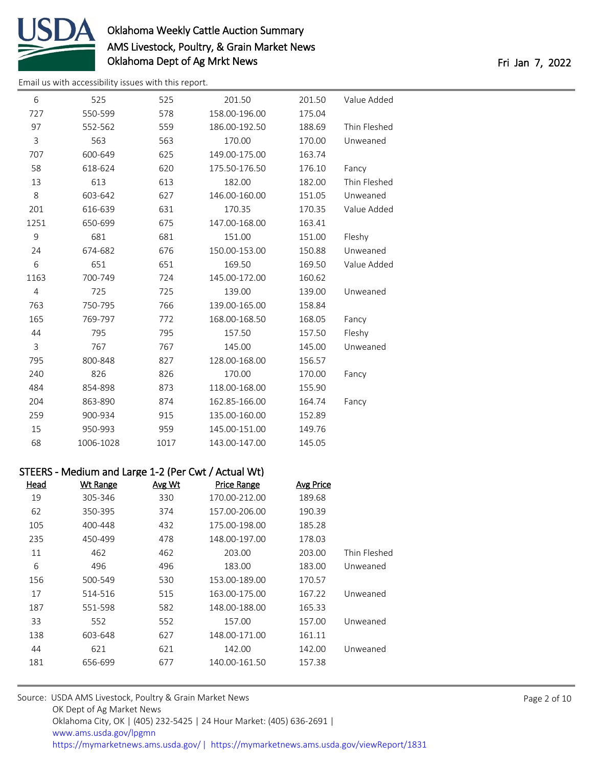

[Email us with accessibility issues with this report.](mailto:mars@ams.usda.gov?subject=508%20issue)

| 6              | 525       | 525  | 201.50        | 201.50 | Value Added  |
|----------------|-----------|------|---------------|--------|--------------|
| 727            | 550-599   | 578  | 158.00-196.00 | 175.04 |              |
| 97             | 552-562   | 559  | 186.00-192.50 | 188.69 | Thin Fleshed |
| 3              | 563       | 563  | 170.00        | 170.00 | Unweaned     |
| 707            | 600-649   | 625  | 149.00-175.00 | 163.74 |              |
| 58             | 618-624   | 620  | 175.50-176.50 | 176.10 | Fancy        |
| 13             | 613       | 613  | 182.00        | 182.00 | Thin Fleshed |
| 8              | 603-642   | 627  | 146.00-160.00 | 151.05 | Unweaned     |
| 201            | 616-639   | 631  | 170.35        | 170.35 | Value Added  |
| 1251           | 650-699   | 675  | 147.00-168.00 | 163.41 |              |
| 9              | 681       | 681  | 151.00        | 151.00 | Fleshy       |
| 24             | 674-682   | 676  | 150.00-153.00 | 150.88 | Unweaned     |
| 6              | 651       | 651  | 169.50        | 169.50 | Value Added  |
| 1163           | 700-749   | 724  | 145.00-172.00 | 160.62 |              |
| $\overline{4}$ | 725       | 725  | 139.00        | 139.00 | Unweaned     |
| 763            | 750-795   | 766  | 139.00-165.00 | 158.84 |              |
| 165            | 769-797   | 772  | 168.00-168.50 | 168.05 | Fancy        |
| 44             | 795       | 795  | 157.50        | 157.50 | Fleshy       |
| 3              | 767       | 767  | 145.00        | 145.00 | Unweaned     |
| 795            | 800-848   | 827  | 128.00-168.00 | 156.57 |              |
| 240            | 826       | 826  | 170.00        | 170.00 | Fancy        |
| 484            | 854-898   | 873  | 118.00-168.00 | 155.90 |              |
| 204            | 863-890   | 874  | 162.85-166.00 | 164.74 | Fancy        |
| 259            | 900-934   | 915  | 135.00-160.00 | 152.89 |              |
| 15             | 950-993   | 959  | 145.00-151.00 | 149.76 |              |
| 68             | 1006-1028 | 1017 | 143.00-147.00 | 145.05 |              |

### STEERS - Medium and Large 1-2 (Per Cwt / Actual Wt)

| Head | Wt Range | Avg Wt | <b>Price Range</b> | Avg Price |              |
|------|----------|--------|--------------------|-----------|--------------|
| 19   | 305-346  | 330    | 170.00-212.00      | 189.68    |              |
| 62   | 350-395  | 374    | 157.00-206.00      | 190.39    |              |
| 105  | 400-448  | 432    | 175.00-198.00      | 185.28    |              |
| 235  | 450-499  | 478    | 148.00-197.00      | 178.03    |              |
| 11   | 462      | 462    | 203.00             | 203.00    | Thin Fleshed |
| 6    | 496      | 496    | 183.00             | 183.00    | Unweaned     |
| 156  | 500-549  | 530    | 153.00-189.00      | 170.57    |              |
| 17   | 514-516  | 515    | 163.00-175.00      | 167.22    | Unweaned     |
| 187  | 551-598  | 582    | 148.00-188.00      | 165.33    |              |
| 33   | 552      | 552    | 157.00             | 157.00    | Unweaned     |
| 138  | 603-648  | 627    | 148.00-171.00      | 161.11    |              |
| 44   | 621      | 621    | 142.00             | 142.00    | Unweaned     |
| 181  | 656-699  | 677    | 140.00-161.50      | 157.38    |              |
|      |          |        |                    |           |              |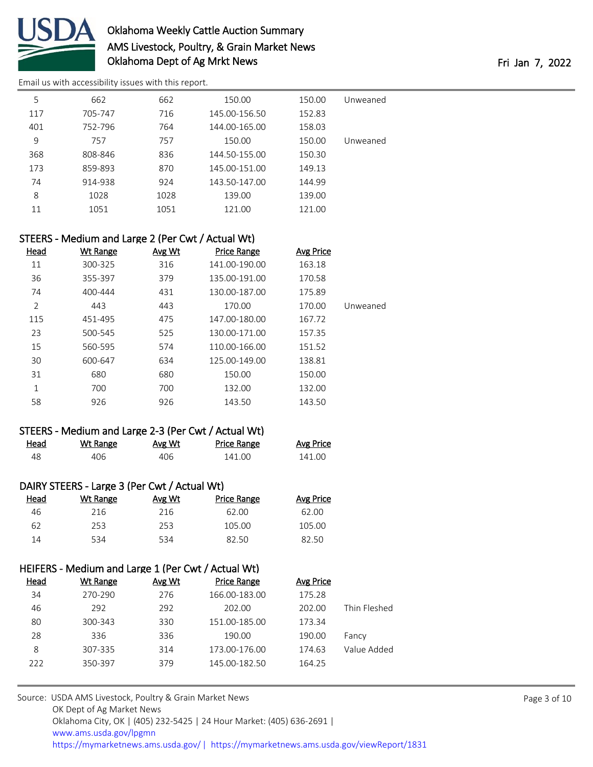

[Email us with accessibility issues with this report.](mailto:mars@ams.usda.gov?subject=508%20issue)

| 5   | 662     | 662  | 150.00        | 150.00 | Unweaned |
|-----|---------|------|---------------|--------|----------|
| 117 | 705-747 | 716  | 145.00-156.50 | 152.83 |          |
| 401 | 752-796 | 764  | 144.00-165.00 | 158.03 |          |
| 9   | 757     | 757  | 150.00        | 150.00 | Unweaned |
| 368 | 808-846 | 836  | 144.50-155.00 | 150.30 |          |
| 173 | 859-893 | 870  | 145.00-151.00 | 149.13 |          |
| 74  | 914-938 | 924  | 143.50-147.00 | 144.99 |          |
| 8   | 1028    | 1028 | 139.00        | 139.00 |          |
| 11  | 1051    | 1051 | 121.00        | 121.00 |          |

### STEERS - Medium and Large 2 (Per Cwt / Actual Wt)

| <b>Head</b>    | <b>Wt Range</b> | Avg Wt | <b>Price Range</b> | <b>Avg Price</b> |          |
|----------------|-----------------|--------|--------------------|------------------|----------|
| 11             | 300-325         | 316    | 141.00-190.00      | 163.18           |          |
| 36             | 355-397         | 379    | 135.00-191.00      | 170.58           |          |
| 74             | 400-444         | 431    | 130.00-187.00      | 175.89           |          |
| $\overline{2}$ | 443             | 443    | 170.00             | 170.00           | Unweaned |
| 115            | 451-495         | 475    | 147.00-180.00      | 167.72           |          |
| 23             | 500-545         | 525    | 130.00-171.00      | 157.35           |          |
| 15             | 560-595         | 574    | 110.00-166.00      | 151.52           |          |
| 30             | 600-647         | 634    | 125.00-149.00      | 138.81           |          |
| 31             | 680             | 680    | 150.00             | 150.00           |          |
| 1              | 700             | 700    | 132.00             | 132.00           |          |
| 58             | 926             | 926    | 143.50             | 143.50           |          |

### STEERS - Medium and Large 2-3 (Per Cwt / Actual Wt)

| Head | Wt Range | <u>Avg Wt</u> | <b>Price Range</b> | <b>Avg Price</b> |
|------|----------|---------------|--------------------|------------------|
|      | 406      | 406           | 141.00             | 141.00           |

### DAIRY STEERS - Large 3 (Per Cwt / Actual Wt)

| Wt Range | Avg Wt | Price Range | <b>Avg Price</b> |
|----------|--------|-------------|------------------|
| 216      | 216    | 62.00       | 62.00            |
| 253.     | 253    | 105.00      | 105.00           |
| 534      | 534    | 82.50       | 82.50            |
|          |        |             |                  |

### HEIFERS - Medium and Large 1 (Per Cwt / Actual Wt)

| Head | Wt Range | Avg Wt | Price Range   | Avg Price |              |
|------|----------|--------|---------------|-----------|--------------|
| 34   | 270-290  | 276    | 166.00-183.00 | 175.28    |              |
| 46   | 292      | 292    | 202.00        | 202.00    | Thin Fleshed |
| 80   | 300-343  | 330    | 151.00-185.00 | 173.34    |              |
| 28   | 336      | 336    | 190.00        | 190.00    | Fancy        |
| 8    | 307-335  | 314    | 173.00-176.00 | 174.63    | Value Added  |
| 222  | 350-397  | 379    | 145.00-182.50 | 164.25    |              |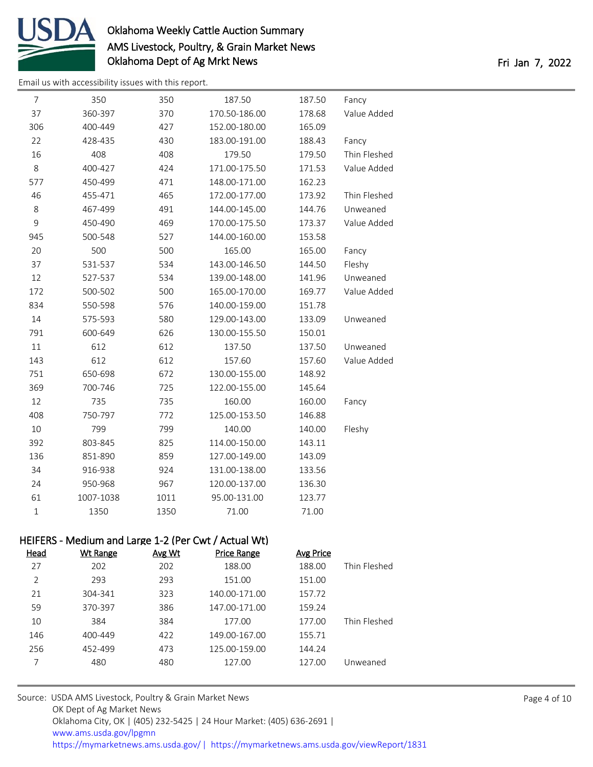

[Email us with accessibility issues with this report.](mailto:mars@ams.usda.gov?subject=508%20issue)

| $\overline{7}$ | 350                                                  | 350    | 187.50             | 187.50           | Fancy        |
|----------------|------------------------------------------------------|--------|--------------------|------------------|--------------|
| 37             | 360-397                                              | 370    | 170.50-186.00      | 178.68           | Value Added  |
| 306            | 400-449                                              | 427    | 152.00-180.00      | 165.09           |              |
| 22             | 428-435                                              | 430    | 183.00-191.00      | 188.43           | Fancy        |
| 16             | 408                                                  | 408    | 179.50             | 179.50           | Thin Fleshed |
| $\,8\,$        | 400-427                                              | 424    | 171.00-175.50      | 171.53           | Value Added  |
| 577            | 450-499                                              | 471    | 148.00-171.00      | 162.23           |              |
| 46             | 455-471                                              | 465    | 172.00-177.00      | 173.92           | Thin Fleshed |
| $\,8$          | 467-499                                              | 491    | 144.00-145.00      | 144.76           | Unweaned     |
| $\mathsf 9$    | 450-490                                              | 469    | 170.00-175.50      | 173.37           | Value Added  |
| 945            | 500-548                                              | 527    | 144.00-160.00      | 153.58           |              |
| 20             | 500                                                  | 500    | 165.00             | 165.00           | Fancy        |
| 37             | 531-537                                              | 534    | 143.00-146.50      | 144.50           | Fleshy       |
| 12             | 527-537                                              | 534    | 139.00-148.00      | 141.96           | Unweaned     |
| 172            | 500-502                                              | 500    | 165.00-170.00      | 169.77           | Value Added  |
| 834            | 550-598                                              | 576    | 140.00-159.00      | 151.78           |              |
| 14             | 575-593                                              | 580    | 129.00-143.00      | 133.09           | Unweaned     |
| 791            | 600-649                                              | 626    | 130.00-155.50      | 150.01           |              |
| 11             | 612                                                  | 612    | 137.50             | 137.50           | Unweaned     |
| 143            | 612                                                  | 612    | 157.60             | 157.60           | Value Added  |
| 751            | 650-698                                              | 672    | 130.00-155.00      | 148.92           |              |
| 369            | 700-746                                              | 725    | 122.00-155.00      | 145.64           |              |
| 12             | 735                                                  | 735    | 160.00             | 160.00           | Fancy        |
| 408            | 750-797                                              | 772    | 125.00-153.50      | 146.88           |              |
| $10\,$         | 799                                                  | 799    | 140.00             | 140.00           | Fleshy       |
| 392            | 803-845                                              | 825    | 114.00-150.00      | 143.11           |              |
| 136            | 851-890                                              | 859    | 127.00-149.00      | 143.09           |              |
| 34             | 916-938                                              | 924    | 131.00-138.00      | 133.56           |              |
| 24             | 950-968                                              | 967    | 120.00-137.00      | 136.30           |              |
| 61             | 1007-1038                                            | 1011   | 95.00-131.00       | 123.77           |              |
| $\mathbf 1$    | 1350                                                 | 1350   | 71.00              | 71.00            |              |
|                | HEIFERS - Medium and Large 1-2 (Per Cwt / Actual Wt) |        |                    |                  |              |
| <b>Head</b>    | <b>Wt Range</b>                                      | Avg Wt | <b>Price Range</b> | <b>Avg Price</b> |              |
| 27             | 202                                                  | 202    | 188.00             | 188.00           | Thin Fleshed |
| $\overline{2}$ | 293                                                  | 293    | 151.00             | 151.00           |              |
| 21             | 304-341                                              | 323    | 140.00-171.00      | 157.72           |              |
| 59             | 370-397                                              | 386    | 147.00-171.00      | 159.24           |              |
| 10             | 384                                                  | 384    | 177.00             | 177.00           | Thin Fleshed |
| 146            | 400-449                                              | 422    | 149.00-167.00      | 155.71           |              |
| 256            | 452-499                                              | 473    | 125.00-159.00      | 144.24           |              |
| $\overline{7}$ | 480                                                  | 480    | 127.00             | 127.00           | Unweaned     |
|                |                                                      |        |                    |                  |              |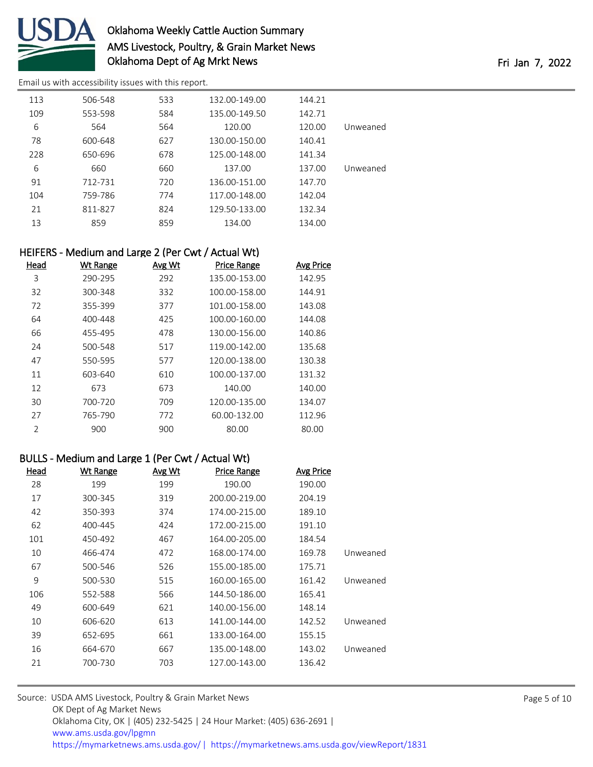

[Email us with accessibility issues with this report.](mailto:mars@ams.usda.gov?subject=508%20issue)

| 113 | 506-548 | 533 | 132.00-149.00 | 144.21 |          |
|-----|---------|-----|---------------|--------|----------|
| 109 | 553-598 | 584 | 135.00-149.50 | 142.71 |          |
| 6   | 564     | 564 | 120.00        | 120.00 | Unweaned |
| 78  | 600-648 | 627 | 130.00-150.00 | 140.41 |          |
| 228 | 650-696 | 678 | 125.00-148.00 | 141.34 |          |
| 6   | 660     | 660 | 137.00        | 137.00 | Unweaned |
| 91  | 712-731 | 720 | 136.00-151.00 | 147.70 |          |
| 104 | 759-786 | 774 | 117.00-148.00 | 142.04 |          |
| 21  | 811-827 | 824 | 129.50-133.00 | 132.34 |          |
| 13  | 859     | 859 | 134.00        | 134.00 |          |

### HEIFERS - Medium and Large 2 (Per Cwt / Actual Wt)

| Head           | <b>Wt Range</b> | <b>Avg Wt</b> | <b>Price Range</b> | Avg Price |
|----------------|-----------------|---------------|--------------------|-----------|
| 3              | 290-295         | 292           | 135.00-153.00      | 142.95    |
| 32             | 300-348         | 332           | 100.00-158.00      | 144.91    |
| 72             | 355-399         | 377           | 101.00-158.00      | 143.08    |
| 64             | 400-448         | 425           | 100.00-160.00      | 144.08    |
| 66             | 455-495         | 478           | 130.00-156.00      | 140.86    |
| 24             | 500-548         | 517           | 119.00-142.00      | 135.68    |
| 47             | 550-595         | 577           | 120.00-138.00      | 130.38    |
| 11             | 603-640         | 610           | 100.00-137.00      | 131.32    |
| 12             | 673             | 673           | 140.00             | 140.00    |
| 30             | 700-720         | 709           | 120.00-135.00      | 134.07    |
| 27             | 765-790         | 772           | 60.00-132.00       | 112.96    |
| $\mathfrak{D}$ | 900             | 900           | 80.00              | 80.00     |
|                |                 |               |                    |           |

### BULLS - Medium and Large 1 (Per Cwt / Actual Wt)

| Head | <b>Wt Range</b> | <u>Avg Wt</u> | <b>Price Range</b> | <b>Avg Price</b> |          |
|------|-----------------|---------------|--------------------|------------------|----------|
| 28   | 199             | 199           | 190.00             | 190.00           |          |
| 17   | 300-345         | 319           | 200.00-219.00      | 204.19           |          |
| 42   | 350-393         | 374           | 174.00-215.00      | 189.10           |          |
| 62   | 400-445         | 424           | 172.00-215.00      | 191.10           |          |
| 101  | 450-492         | 467           | 164.00-205.00      | 184.54           |          |
| 10   | 466-474         | 472           | 168.00-174.00      | 169.78           | Unweaned |
| 67   | 500-546         | 526           | 155.00-185.00      | 175.71           |          |
| 9    | 500-530         | 515           | 160.00-165.00      | 161.42           | Unweaned |
| 106  | 552-588         | 566           | 144.50-186.00      | 165.41           |          |
| 49   | 600-649         | 621           | 140.00-156.00      | 148.14           |          |
| 10   | 606-620         | 613           | 141.00-144.00      | 142.52           | Unweaned |
| 39   | 652-695         | 661           | 133.00-164.00      | 155.15           |          |
| 16   | 664-670         | 667           | 135.00-148.00      | 143.02           | Unweaned |
| 21   | 700-730         | 703           | 127.00-143.00      | 136.42           |          |
|      |                 |               |                    |                  |          |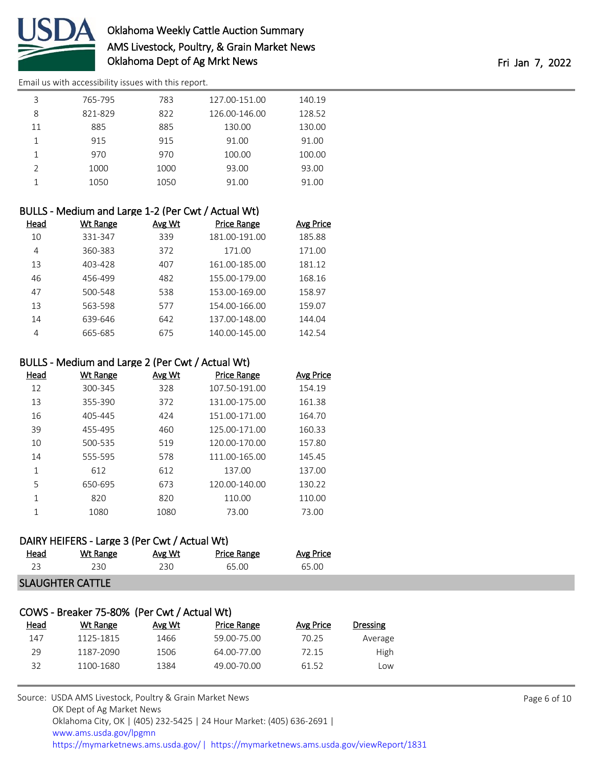

[Email us with accessibility issues with this report.](mailto:mars@ams.usda.gov?subject=508%20issue)

| 3             | 765-795 | 783  | 127.00-151.00 | 140.19 |
|---------------|---------|------|---------------|--------|
| 8             | 821-829 | 822  | 126.00-146.00 | 128.52 |
| 11            | 885     | 885  | 130.00        | 130.00 |
|               | 915     | 915  | 91.00         | 91.00  |
|               | 970     | 970  | 100.00        | 100.00 |
| $\mathcal{P}$ | 1000    | 1000 | 93.00         | 93.00  |
|               | 1050    | 1050 | 91.00         | 91.00  |
|               |         |      |               |        |

| BULLS - Medium and Large 1-2 (Per Cwt / Actual Wt) |          |               |                    |           |  |  |  |
|----------------------------------------------------|----------|---------------|--------------------|-----------|--|--|--|
| Head                                               | Wt Range | <b>Avg Wt</b> | <b>Price Range</b> | Avg Price |  |  |  |
| 10                                                 | 331-347  | 339           | 181.00-191.00      | 185.88    |  |  |  |
| 4                                                  | 360-383  | 372           | 171.00             | 171.00    |  |  |  |
| 13                                                 | 403-428  | 407           | 161.00-185.00      | 181.12    |  |  |  |
| 46                                                 | 456-499  | 482           | 155.00-179.00      | 168.16    |  |  |  |
| 47                                                 | 500-548  | 538           | 153.00-169.00      | 158.97    |  |  |  |
| 13                                                 | 563-598  | 577           | 154.00-166.00      | 159.07    |  |  |  |
| 14                                                 | 639-646  | 642           | 137.00-148.00      | 144.04    |  |  |  |
| 4                                                  | 665-685  | 675           | 140.00-145.00      | 142.54    |  |  |  |
|                                                    |          |               |                    |           |  |  |  |

### BULLS - Medium and Large 2 (Per Cwt / Actual Wt)

| Head | <b>Wt Range</b> | Avg Wt | <b>Price Range</b> | <b>Avg Price</b> |
|------|-----------------|--------|--------------------|------------------|
| 12   | 300-345         | 328    | 107.50-191.00      | 154.19           |
| 13   | 355-390         | 372    | 131.00-175.00      | 161.38           |
| 16   | 405-445         | 424    | 151.00-171.00      | 164.70           |
| 39   | 455-495         | 460    | 125.00-171.00      | 160.33           |
| 10   | 500-535         | 519    | 120.00-170.00      | 157.80           |
| 14   | 555-595         | 578    | 111.00-165.00      | 145.45           |
| 1    | 612             | 612    | 137.00             | 137.00           |
| 5    | 650-695         | 673    | 120.00-140.00      | 130.22           |
| 1    | 820             | 820    | 110.00             | 110.00           |
| 1    | 1080            | 1080   | 73.00              | 73.00            |
|      |                 |        |                    |                  |

### DAIRY HEIFERS - Large 3 (Per Cwt / Actual Wt)

| <u>Head</u> | Wt Range | Avg Wt | <b>Price Range</b> | <b>Avg Price</b> |  |  |  |
|-------------|----------|--------|--------------------|------------------|--|--|--|
|             | 230      | 230    | 65.00              | 65.00            |  |  |  |
|             |          |        |                    |                  |  |  |  |

#### SLAUGHTER CATTLE

| COWS - Breaker 75-80% (Per Cwt / Actual Wt) |           |        |                    |           |          |  |  |  |
|---------------------------------------------|-----------|--------|--------------------|-----------|----------|--|--|--|
| Head                                        | Wt Range  | Avg Wt | <b>Price Range</b> | Avg Price | Dressing |  |  |  |
| 147                                         | 1125-1815 | 1466   | 59.00-75.00        | 70.25     | Average  |  |  |  |
| 29                                          | 1187-2090 | 1506   | 64.00-77.00        | 72.15     | High     |  |  |  |
| 32                                          | 1100-1680 | 1384   | 49.00-70.00        | 61 52     | Low      |  |  |  |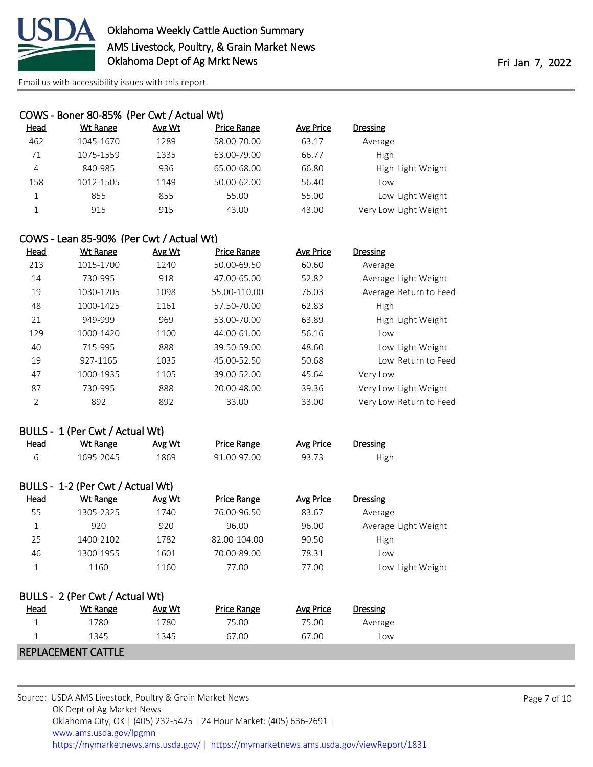

|             | COWS - Boner 80-85% (Per Cwt / Actual Wt) |        |                    |           |          |                       |
|-------------|-------------------------------------------|--------|--------------------|-----------|----------|-----------------------|
| <b>Head</b> | Wt Range                                  | Avg Wt | <b>Price Range</b> | Avg Price | Dressing |                       |
| 462         | 1045-1670                                 | 1289   | 58.00-70.00        | 63.17     | Average  |                       |
| 71          | 1075-1559                                 | 1335   | 63.00-79.00        | 66.77     | High     |                       |
| 4           | 840-985                                   | 936    | 65.00-68.00        | 66.80     |          | High Light Weight     |
| 158         | 1012-1505                                 | 1149   | 50.00-62.00        | 56.40     | Low      |                       |
| 1           | 855                                       | 855    | 55.00              | 55.00     |          | Low Light Weight      |
|             | 915                                       | 915    | 43.00              | 43.00     |          | Very Low Light Weight |

### COWS - Lean 85-90% (Per Cwt / Actual Wt)

| <b>Head</b>    | Wt Range  | Avg Wt | <b>Price Range</b> | <b>Avg Price</b> | <b>Dressing</b>         |
|----------------|-----------|--------|--------------------|------------------|-------------------------|
| 213            | 1015-1700 | 1240   | 50.00-69.50        | 60.60            | Average                 |
| 14             | 730-995   | 918    | 47.00-65.00        | 52.82            | Average Light Weight    |
| 19             | 1030-1205 | 1098   | 55.00-110.00       | 76.03            | Average Return to Feed  |
| 48             | 1000-1425 | 1161   | 57.50-70.00        | 62.83            | High                    |
| 21             | 949-999   | 969    | 53.00-70.00        | 63.89            | High Light Weight       |
| 129            | 1000-1420 | 1100   | 44.00-61.00        | 56.16            | Low                     |
| 40             | 715-995   | 888    | 39.50-59.00        | 48.60            | Low Light Weight        |
| 19             | 927-1165  | 1035   | 45.00-52.50        | 50.68            | Low Return to Feed      |
| 47             | 1000-1935 | 1105   | 39.00-52.00        | 45.64            | Very Low                |
| 87             | 730-995   | 888    | 20.00-48.00        | 39.36            | Very Low Light Weight   |
| $\overline{2}$ | 892       | 892    | 33.00              | 33.00            | Very Low Return to Feed |

#### BULLS - 1 (Per Cwt / Actual Wt)

| Head | Wt Range  | <u>Avg Wt</u> | Price Range | Avg Price | <b>Dressing</b> |
|------|-----------|---------------|-------------|-----------|-----------------|
|      | 1695-2045 | 1869          | 91.00-97.00 | 93.73     | High            |

|             | BULLS - 1-2 (Per Cwt / Actual Wt) |        |                    |           |                      |
|-------------|-----------------------------------|--------|--------------------|-----------|----------------------|
| <b>Head</b> | Wt Range                          | Avg Wt | <b>Price Range</b> | Avg Price | Dressing             |
| 55          | 1305-2325                         | 1740   | 76.00-96.50        | 83.67     | Average              |
|             | 920                               | 920    | 96.00              | 96.00     | Average Light Weight |
| 25          | 1400-2102                         | 1782   | 82.00-104.00       | 90.50     | High                 |
| 46          | 1300-1955                         | 1601   | 70.00-89.00        | 78.31     | Low                  |
|             | 1160                              | 1160   | 77.00              | 77.00     | Low Light Weight     |

| BULLS - 2 (Per Cwt / Actual Wt) |          |        |             |           |          |  |  |
|---------------------------------|----------|--------|-------------|-----------|----------|--|--|
| Head                            | Wt Range | Avg Wt | Price Range | Avg Price | Dressing |  |  |
|                                 | 1780     | 1780   | 75.00       | 75.00     | Average  |  |  |
|                                 | 1345     | 1345   | 67.00       | 67.00     | Low      |  |  |
| <b>REPLACEMENT CATTLE</b>       |          |        |             |           |          |  |  |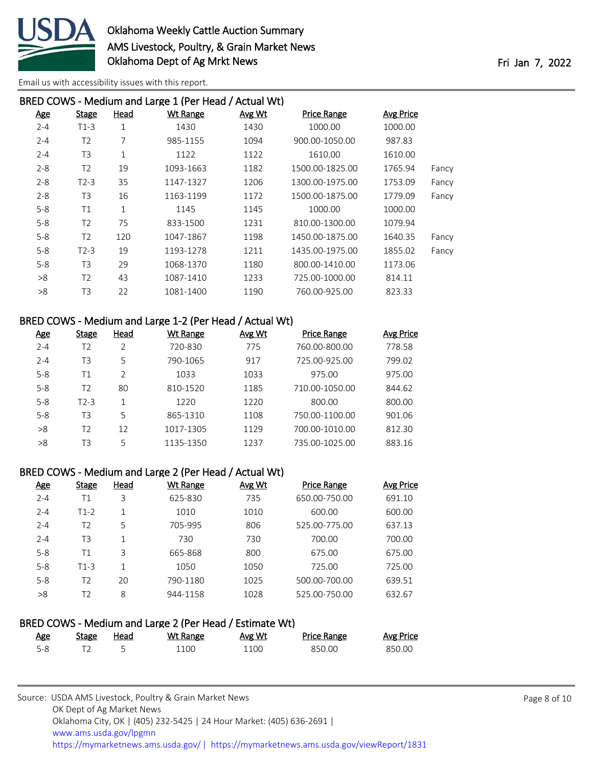

| BRED COWS - Medium and Large 1 (Per Head / Actual Wt) |                |             |                 |        |                    |                  |       |  |  |
|-------------------------------------------------------|----------------|-------------|-----------------|--------|--------------------|------------------|-------|--|--|
| <b>Age</b>                                            | <b>Stage</b>   | Head        | <b>Wt Range</b> | Avg Wt | <b>Price Range</b> | <b>Avg Price</b> |       |  |  |
| $2 - 4$                                               | $T1-3$         | 1           | 1430            | 1430   | 1000.00            | 1000.00          |       |  |  |
| $2 - 4$                                               | T <sub>2</sub> | 7           | 985-1155        | 1094   | 900.00-1050.00     | 987.83           |       |  |  |
| $2 - 4$                                               | T3             | 1           | 1122            | 1122   | 1610.00            | 1610.00          |       |  |  |
| $2 - 8$                                               | T <sub>2</sub> | 19          | 1093-1663       | 1182   | 1500.00-1825.00    | 1765.94          | Fancy |  |  |
| $2 - 8$                                               | $T2-3$         | 35          | 1147-1327       | 1206   | 1300.00-1975.00    | 1753.09          | Fancy |  |  |
| $2 - 8$                                               | T3             | 16          | 1163-1199       | 1172   | 1500.00-1875.00    | 1779.09          | Fancy |  |  |
| $5 - 8$                                               | T1             | $\mathbf 1$ | 1145            | 1145   | 1000.00            | 1000.00          |       |  |  |
| $5 - 8$                                               | T <sub>2</sub> | 75          | 833-1500        | 1231   | 810.00-1300.00     | 1079.94          |       |  |  |
| $5 - 8$                                               | T <sub>2</sub> | 120         | 1047-1867       | 1198   | 1450.00-1875.00    | 1640.35          | Fancy |  |  |
| $5 - 8$                                               | $T2-3$         | 19          | 1193-1278       | 1211   | 1435.00-1975.00    | 1855.02          | Fancy |  |  |
| $5 - 8$                                               | T <sub>3</sub> | 29          | 1068-1370       | 1180   | 800.00-1410.00     | 1173.06          |       |  |  |
| >8                                                    | T <sub>2</sub> | 43          | 1087-1410       | 1233   | 725.00-1000.00     | 814.11           |       |  |  |
| >8                                                    | T3             | 22          | 1081-1400       | 1190   | 760.00-925.00      | 823.33           |       |  |  |
|                                                       |                |             |                 |        |                    |                  |       |  |  |

#### BRED COWS - Medium and Large 1-2 (Per Head / Actual Wt)

| <b>Age</b> | Stage             | Head | Wt Range  | Avg Wt | <b>Price Range</b> | Avg Price |
|------------|-------------------|------|-----------|--------|--------------------|-----------|
| $2 - 4$    | T2                | 2    | 720-830   | 775    | 760.00-800.00      | 778.58    |
| $2 - 4$    | T <sub>3</sub>    | 5    | 790-1065  | 917    | 725.00-925.00      | 799.02    |
| $5 - 8$    | Τ1                | C    | 1033      | 1033   | 975.00             | 975.00    |
| $5 - 8$    | T2                | 80   | 810-1520  | 1185   | 710.00-1050.00     | 844.62    |
| $5 - 8$    | T <sub>2</sub> -3 | 1    | 1220      | 1220   | 800.00             | 800.00    |
| $5 - 8$    | T3                | 5    | 865-1310  | 1108   | 750.00-1100.00     | 901.06    |
| >8         | T2                | 12   | 1017-1305 | 1129   | 700.00-1010.00     | 812.30    |
| >8         | T3                | 5    | 1135-1350 | 1237   | 735.00-1025.00     | 883.16    |

### BRED COWS - Medium and Large 2 (Per Head / Actual Wt)

| <u>Age</u> | Stage          | Head | Wt Range | Avg Wt | <b>Price Range</b> | Avg Price |
|------------|----------------|------|----------|--------|--------------------|-----------|
| $2 - 4$    | Τ1             | 3    | 625-830  | 735    | 650.00-750.00      | 691.10    |
| $2 - 4$    | $T1-2$         | 1    | 1010     | 1010   | 600.00             | 600.00    |
| $2 - 4$    | T <sub>2</sub> | 5    | 705-995  | 806    | 525.00-775.00      | 637.13    |
| $2 - 4$    | T3             | 1    | 730      | 730    | 700.00             | 700.00    |
| $5 - 8$    | Τ1             | 3    | 665-868  | 800    | 675.00             | 675.00    |
| $5 - 8$    | $T1-3$         | 1    | 1050     | 1050   | 725.00             | 725.00    |
| $5 - 8$    | T2             | 20   | 790-1180 | 1025   | 500.00-700.00      | 639.51    |
| >8         | T2             | 8    | 944-1158 | 1028   | 525.00-750.00      | 632.67    |

### BRED COWS - Medium and Large 2 (Per Head / Estimate Wt)

| <u>Age</u> | Stage | Head | Wt Range | Avg Wt | Price Range | <b>Avg Price</b> |
|------------|-------|------|----------|--------|-------------|------------------|
| $5-8$      |       |      | 100ء     | 1100   | 850.00      | 850.00           |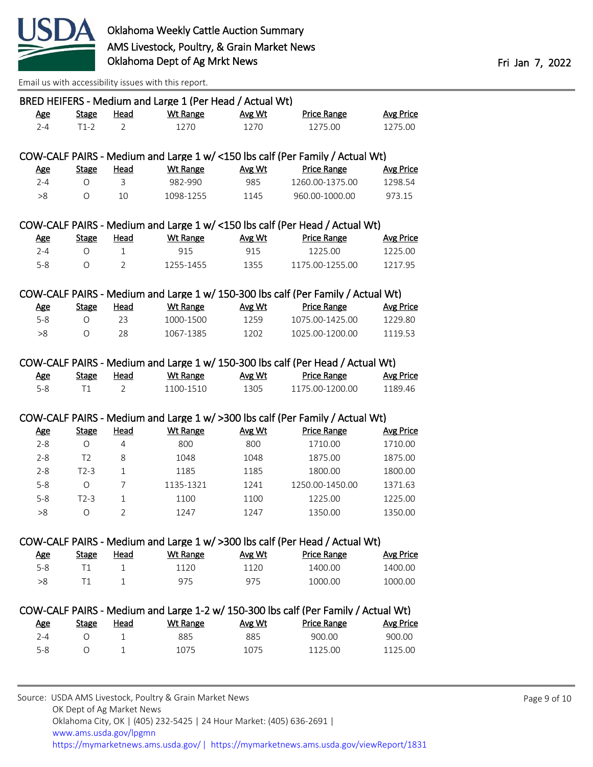

|            |                |                | BRED HEIFERS - Medium and Large 1 (Per Head / Actual Wt) |        |                                                                                    |                  |
|------------|----------------|----------------|----------------------------------------------------------|--------|------------------------------------------------------------------------------------|------------------|
| <u>Age</u> | <b>Stage</b>   | Head           | <b>Wt Range</b>                                          | Avg Wt | Price Range                                                                        | <b>Avg Price</b> |
| $2 - 4$    | $T1-2$         | 2              | 1270                                                     | 1270   | 1275.00                                                                            | 1275.00          |
|            |                |                |                                                          |        | COW-CALF PAIRS - Medium and Large 1 w/ <150 lbs calf (Per Family / Actual Wt)      |                  |
| <u>Age</u> | <b>Stage</b>   | <u>Head</u>    | <b>Wt Range</b>                                          | Avg Wt | <b>Price Range</b>                                                                 | <b>Avg Price</b> |
| $2 - 4$    | $\circ$        | 3              | 982-990                                                  | 985    | 1260.00-1375.00                                                                    | 1298.54          |
| >8         | $\circ$        | 10             | 1098-1255                                                | 1145   | 960.00-1000.00                                                                     | 973.15           |
|            |                |                |                                                          |        | COW-CALF PAIRS - Medium and Large 1 w/ <150 lbs calf (Per Head / Actual Wt)        |                  |
| <b>Age</b> | <b>Stage</b>   | <b>Head</b>    | <b>Wt Range</b>                                          | Avg Wt | <b>Price Range</b>                                                                 | <b>Avg Price</b> |
| $2 - 4$    | O              | $\mathbf{1}$   | 915                                                      | 915    | 1225.00                                                                            | 1225.00          |
| $5 - 8$    | $\circ$        | $\overline{2}$ | 1255-1455                                                | 1355   | 1175.00-1255.00                                                                    | 1217.95          |
|            |                |                |                                                          |        | COW-CALF PAIRS - Medium and Large 1 w/ 150-300 lbs calf (Per Family / Actual Wt)   |                  |
| <b>Age</b> | <b>Stage</b>   | Head           | Wt Range                                                 | Avg Wt | <b>Price Range</b>                                                                 | <b>Avg Price</b> |
| $5-8$      | $\circ$        | 23             | 1000-1500                                                | 1259   | 1075.00-1425.00                                                                    | 1229.80          |
| >8         | $\circ$        | 28             | 1067-1385                                                | 1202   | 1025.00-1200.00                                                                    | 1119.53          |
|            |                |                |                                                          |        | COW-CALF PAIRS - Medium and Large 1 w/ 150-300 lbs calf (Per Head / Actual Wt)     |                  |
| <b>Age</b> | <b>Stage</b>   | <b>Head</b>    | Wt Range                                                 | Avg Wt | <b>Price Range</b>                                                                 | <b>Avg Price</b> |
| $5-8$      | T1             | $\overline{2}$ | 1100-1510                                                | 1305   | 1175.00-1200.00                                                                    | 1189.46          |
|            |                |                |                                                          |        | COW-CALF PAIRS - Medium and Large 1 w/ >300 lbs calf (Per Family / Actual Wt)      |                  |
| <b>Age</b> | <b>Stage</b>   | <b>Head</b>    | <b>Wt Range</b>                                          | Avg Wt | <b>Price Range</b>                                                                 | <b>Avg Price</b> |
| $2 - 8$    | O              | $\overline{4}$ | 800                                                      | 800    | 1710.00                                                                            | 1710.00          |
| $2 - 8$    | T <sub>2</sub> | 8              | 1048                                                     | 1048   | 1875.00                                                                            | 1875.00          |
| $2 - 8$    | $T2-3$         | $\mathbf{1}$   | 1185                                                     | 1185   | 1800.00                                                                            | 1800.00          |
| $5 - 8$    | $\circ$        | $\overline{7}$ | 1135-1321                                                | 1241   | 1250.00-1450.00                                                                    | 1371.63          |
| $5 - 8$    | $T2-3$         | $\mathbf{1}$   | 1100                                                     | 1100   | 1225.00                                                                            | 1225.00          |
| >8         | $\circ$        | $\overline{2}$ | 1247                                                     | 1247   | 1350.00                                                                            | 1350.00          |
|            |                |                |                                                          |        | COW-CALF PAIRS - Medium and Large 1 w/ > 300 lbs calf (Per Head / Actual Wt)       |                  |
| <u>Age</u> | <b>Stage</b>   | <b>Head</b>    | <b>Wt Range</b>                                          | Avg Wt | <b>Price Range</b>                                                                 | <b>Avg Price</b> |
| $5-8$      | T1             | $\mathbf{1}$   | 1120                                                     | 1120   | 1400.00                                                                            | 1400.00          |
|            |                |                |                                                          |        |                                                                                    |                  |
| >8         | T1             | $\mathbf{1}$   | 975                                                      | 975    | 1000.00                                                                            | 1000.00          |
|            |                |                |                                                          |        | COW-CALF PAIRS - Medium and Large 1-2 w/ 150-300 lbs calf (Per Family / Actual Wt) |                  |
| <u>Age</u> | <b>Stage</b>   | <b>Head</b>    | <b>Wt Range</b>                                          | Avg Wt | <b>Price Range</b>                                                                 | <b>Avg Price</b> |
| $2 - 4$    | $\circ$        | $\mathbf{1}$   | 885                                                      | 885    | 900.00                                                                             | 900.00           |
| $5 - 8$    | $\circ$        | $\mathbf{1}$   | 1075                                                     | 1075   | 1125.00                                                                            | 1125.00          |
|            |                |                |                                                          |        |                                                                                    |                  |